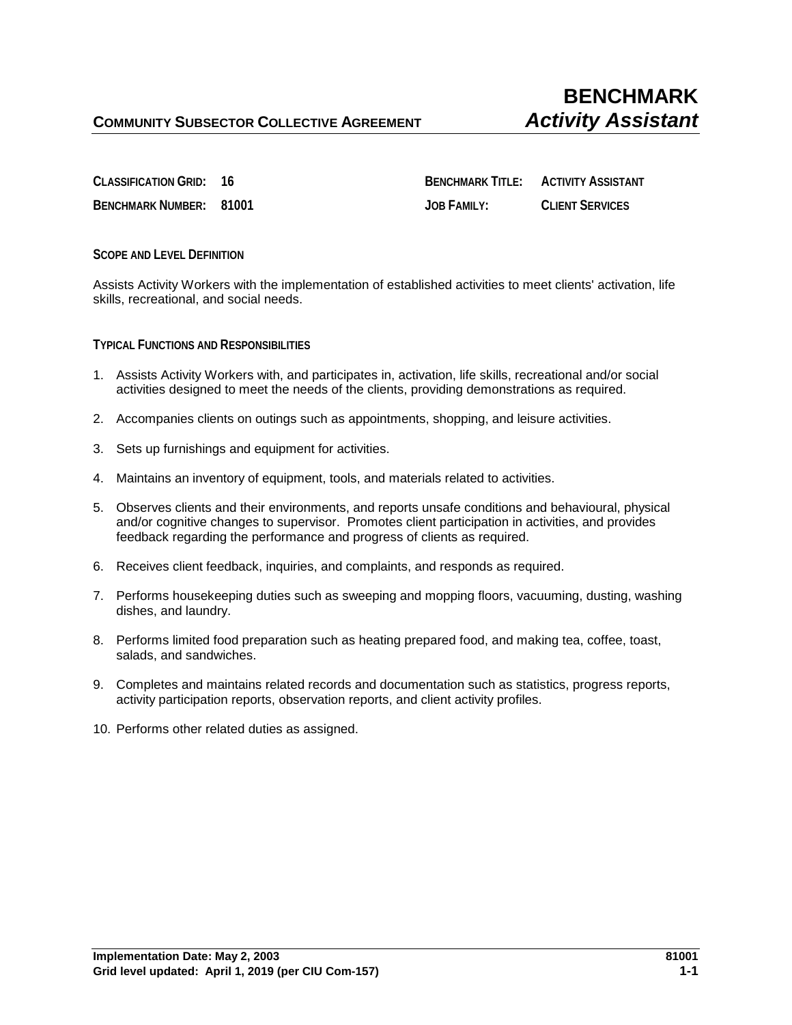**CLASSIFICATION GRID: 16 BENCHMARK TITLE: ACTIVITY ASSISTANT BENCHMARK NUMBER: 81001 JOB FAMILY: CLIENT SERVICES**

## **SCOPE AND LEVEL DEFINITION**

Assists Activity Workers with the implementation of established activities to meet clients' activation, life skills, recreational, and social needs.

**TYPICAL FUNCTIONS AND RESPONSIBILITIES**

- 1. Assists Activity Workers with, and participates in, activation, life skills, recreational and/or social activities designed to meet the needs of the clients, providing demonstrations as required.
- 2. Accompanies clients on outings such as appointments, shopping, and leisure activities.
- 3. Sets up furnishings and equipment for activities.
- 4. Maintains an inventory of equipment, tools, and materials related to activities.
- 5. Observes clients and their environments, and reports unsafe conditions and behavioural, physical and/or cognitive changes to supervisor. Promotes client participation in activities, and provides feedback regarding the performance and progress of clients as required.
- 6. Receives client feedback, inquiries, and complaints, and responds as required.
- 7. Performs housekeeping duties such as sweeping and mopping floors, vacuuming, dusting, washing dishes, and laundry.
- 8. Performs limited food preparation such as heating prepared food, and making tea, coffee, toast, salads, and sandwiches.
- 9. Completes and maintains related records and documentation such as statistics, progress reports, activity participation reports, observation reports, and client activity profiles.
- 10. Performs other related duties as assigned.